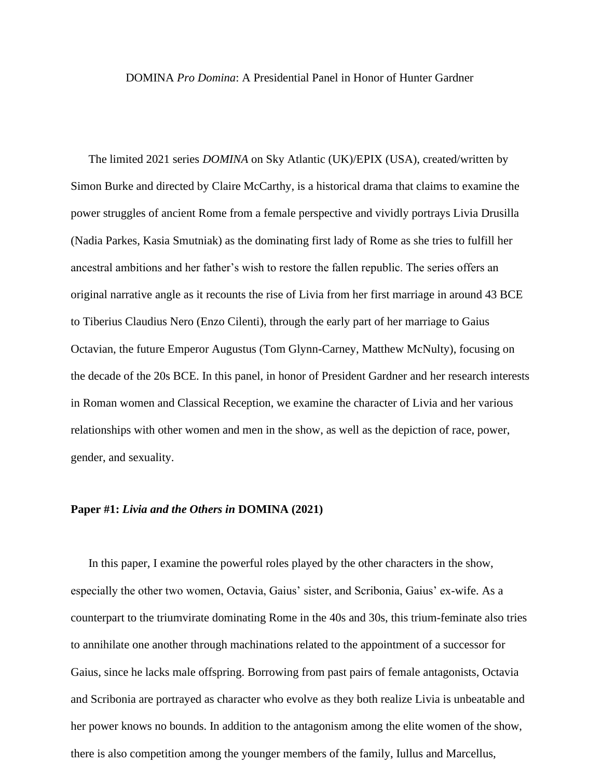### DOMINA *Pro Domina*: A Presidential Panel in Honor of Hunter Gardner

The limited 2021 series *DOMINA* on Sky Atlantic (UK)/EPIX (USA), created/written by Simon Burke and directed by Claire McCarthy, is a historical drama that claims to examine the power struggles of ancient Rome from a female perspective and vividly portrays Livia Drusilla (Nadia Parkes, Kasia Smutniak) as the dominating first lady of Rome as she tries to fulfill her ancestral ambitions and her father's wish to restore the fallen republic. The series offers an original narrative angle as it recounts the rise of Livia from her first marriage in around 43 BCE to Tiberius Claudius Nero (Enzo Cilenti), through the early part of her marriage to Gaius Octavian, the future Emperor Augustus (Tom Glynn-Carney, Matthew McNulty), focusing on the decade of the 20s BCE. In this panel, in honor of President Gardner and her research interests in Roman women and Classical Reception, we examine the character of Livia and her various relationships with other women and men in the show, as well as the depiction of race, power, gender, and sexuality.

### **Paper #1:** *Livia and the Others in* **DOMINA (2021)**

In this paper, I examine the powerful roles played by the other characters in the show, especially the other two women, Octavia, Gaius' sister, and Scribonia, Gaius' ex-wife. As a counterpart to the triumvirate dominating Rome in the 40s and 30s, this trium-feminate also tries to annihilate one another through machinations related to the appointment of a successor for Gaius, since he lacks male offspring. Borrowing from past pairs of female antagonists, Octavia and Scribonia are portrayed as character who evolve as they both realize Livia is unbeatable and her power knows no bounds. In addition to the antagonism among the elite women of the show, there is also competition among the younger members of the family, Iullus and Marcellus,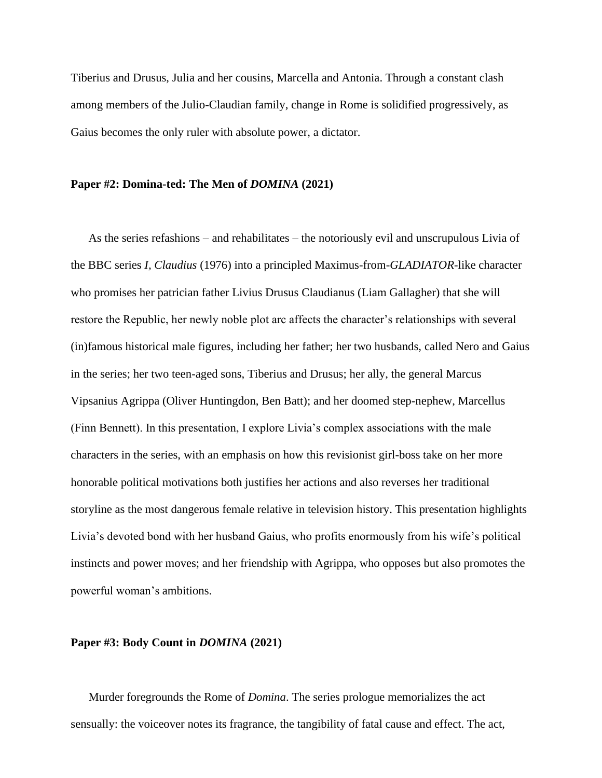Tiberius and Drusus, Julia and her cousins, Marcella and Antonia. Through a constant clash among members of the Julio-Claudian family, change in Rome is solidified progressively, as Gaius becomes the only ruler with absolute power, a dictator.

### **Paper #2: Domina-ted: The Men of** *DOMINA* **(2021)**

As the series refashions – and rehabilitates – the notoriously evil and unscrupulous Livia of the BBC series *I, Claudius* (1976) into a principled Maximus-from-*GLADIATOR*-like character who promises her patrician father Livius Drusus Claudianus (Liam Gallagher) that she will restore the Republic, her newly noble plot arc affects the character's relationships with several (in)famous historical male figures, including her father; her two husbands, called Nero and Gaius in the series; her two teen-aged sons, Tiberius and Drusus; her ally, the general Marcus Vipsanius Agrippa (Oliver Huntingdon, Ben Batt); and her doomed step-nephew, Marcellus (Finn Bennett). In this presentation, I explore Livia's complex associations with the male characters in the series, with an emphasis on how this revisionist girl-boss take on her more honorable political motivations both justifies her actions and also reverses her traditional storyline as the most dangerous female relative in television history. This presentation highlights Livia's devoted bond with her husband Gaius, who profits enormously from his wife's political instincts and power moves; and her friendship with Agrippa, who opposes but also promotes the powerful woman's ambitions.

## **Paper #3: Body Count in** *DOMINA* **(2021)**

Murder foregrounds the Rome of *Domina*. The series prologue memorializes the act sensually: the voiceover notes its fragrance, the tangibility of fatal cause and effect. The act,